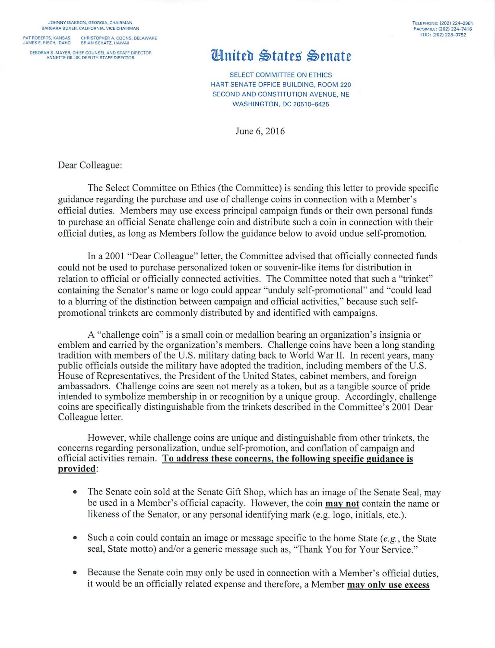JOHNNY ISAKSON, GEORGIA, CHAIRMAN BARBARA BOXER, CALIFORNIA, VICE CHAIRMAN

PAT ROBERTS, KANSAS CHRISTOPHER A. COONS, DELAWARE JAMES E RISCH, IDAHO BRIAN SCHATZ. HAWAII

DEBORAH S. MAYER. CHIEF COUNSEL AND STAFF DIRECTOR ANNETTE GILLIS. DEPUTY STAFF DIRECTOR

## TELEPHONE: (202) 224-2981 FACSIMILE: (202) 224- 7416 TDD: (202) 228-3752

## **Hnited States Senate**

SELECT COMMITTEE ON ETHICS HART SENATE OFFICE BUILDING, ROOM 220 SECOND AND CONSTITUTION AVENUE, NE **WASHINGTON, DC 20510-6425** 

June 6, 2016

Dear Colleague:

The Select Committee on Ethics (the Committee) is sending this letter to provide specific guidance regarding the purchase and use of challenge coins in connection with a Member's official duties. Members may use excess principal campaign funds or their own personal funds to purchase an official Senate challenge coin and distribute such a coin in connection with their official duties, as long as Members follow the guidance below to avoid undue self-promotion.

In a 2001 "Dear Colleague" letter, the Committee advised that officially connected funds could not be used to purchase personalized token or souvenir-like items for distribution in relation to official or officially connected activities. The Committee noted that such a "trinket" containing the Senator's name or logo could appear "unduly self-promotional" and "could lead to a blurring of the distinction between campaign and official activities," because such selfpromotional trinkets are commonly distributed by and identified with campaigns.

A "challenge coin" is a small coin or medallion bearing an organization's insignia or emblem and carried by the organization's members. Challenge coins have been a long standing tradition with members of the U.S. military dating back to World War II. In recent years, many public officials outside the military have adopted the tradition, including members of the U.S. House of Representatives, the President of the United States, cabinet members, and foreign ambassadors. Challenge coins are seen not merely as a token, but as a tangible source of pride intended to symbolize membership in or recognition by a unique group. Accordingly, challenge coins are specifically distinguishable from the trinkets described in the Committee's 2001 Dear Colleague letter.

However, while challenge coins are unique and distinguishable from other trinkets, the concerns regarding personalization, undue self-promotion, and conflation of campaign and official activities remain. To address these concerns, the following specific guidance is provided:

- The Senate coin sold at the Senate Gift Shop, which has an image of the Senate Seal, may be used in a Member's official capacity. However, the coin mav not contain the name or likeness of the Senator, or any personal identifying mark (e.g. logo, initials, etc.).
- Such a coin could contain an image or message specific to the home State  $(e, g)$ , the State seal, State motto) and/or a generic message such as, "Thank You for Your Service."
- Because the Senate coin may only be used in connection with a Member's official duties, it would be an officially related expense and therefore, a Member may only use excess